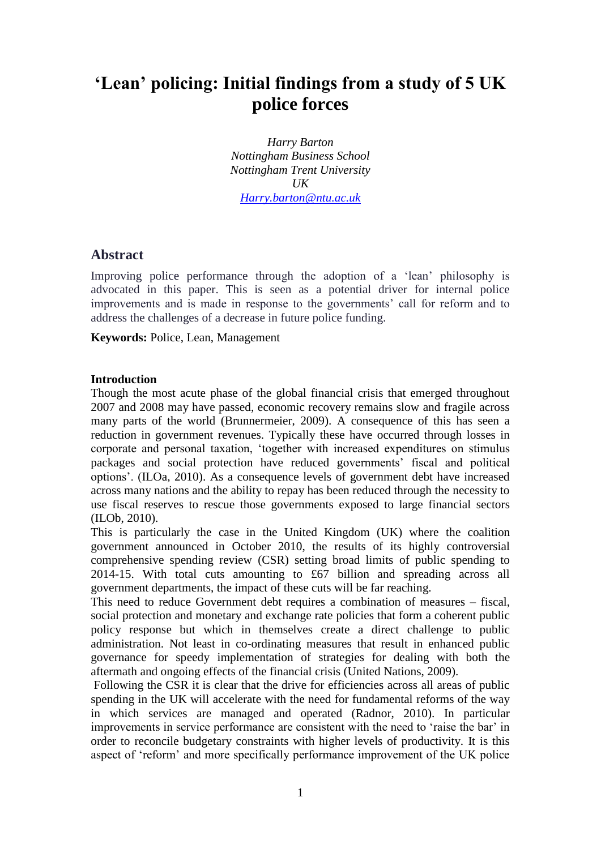# **'Lean' policing: Initial findings from a study of 5 UK police forces**

*Harry Barton Nottingham Business School Nottingham Trent University UK [Harry.barton@ntu.ac.uk](mailto:Harry.barton@ntu.ac.uk)*

## **Abstract**

Improving police performance through the adoption of a 'lean' philosophy is advocated in this paper. This is seen as a potential driver for internal police improvements and is made in response to the governments' call for reform and to address the challenges of a decrease in future police funding.

**Keywords:** Police, Lean, Management

### **Introduction**

Though the most acute phase of the global financial crisis that emerged throughout 2007 and 2008 may have passed, economic recovery remains slow and fragile across many parts of the world (Brunnermeier, 2009). A consequence of this has seen a reduction in government revenues. Typically these have occurred through losses in corporate and personal taxation, 'together with increased expenditures on stimulus packages and social protection have reduced governments' fiscal and political options'. (ILOa, 2010). As a consequence levels of government debt have increased across many nations and the ability to repay has been reduced through the necessity to use fiscal reserves to rescue those governments exposed to large financial sectors (ILOb, 2010).

This is particularly the case in the United Kingdom (UK) where the coalition government announced in October 2010, the results of its highly controversial comprehensive spending review (CSR) setting broad limits of public spending to 2014-15. With total cuts amounting to £67 billion and spreading across all government departments, the impact of these cuts will be far reaching.

This need to reduce Government debt requires a combination of measures – fiscal, social protection and monetary and exchange rate policies that form a coherent public policy response but which in themselves create a direct challenge to public administration. Not least in co-ordinating measures that result in enhanced public governance for speedy implementation of strategies for dealing with both the aftermath and ongoing effects of the financial crisis (United Nations, 2009).

Following the CSR it is clear that the drive for efficiencies across all areas of public spending in the UK will accelerate with the need for fundamental reforms of the way in which services are managed and operated (Radnor, 2010). In particular improvements in service performance are consistent with the need to 'raise the bar' in order to reconcile budgetary constraints with higher levels of productivity. It is this aspect of 'reform' and more specifically performance improvement of the UK police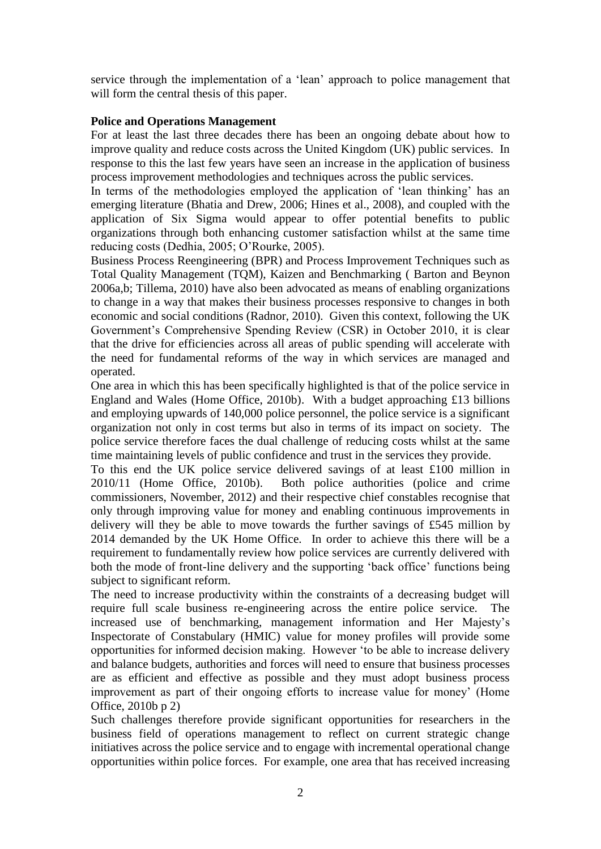service through the implementation of a 'lean' approach to police management that will form the central thesis of this paper.

### **Police and Operations Management**

For at least the last three decades there has been an ongoing debate about how to improve quality and reduce costs across the United Kingdom (UK) public services. In response to this the last few years have seen an increase in the application of business process improvement methodologies and techniques across the public services.

In terms of the methodologies employed the application of 'lean thinking' has an emerging literature (Bhatia and Drew, 2006; Hines et al., 2008), and coupled with the application of Six Sigma would appear to offer potential benefits to public organizations through both enhancing customer satisfaction whilst at the same time reducing costs (Dedhia, 2005; O'Rourke, 2005).

Business Process Reengineering (BPR) and Process Improvement Techniques such as Total Quality Management (TQM), Kaizen and Benchmarking ( Barton and Beynon 2006a,b; Tillema, 2010) have also been advocated as means of enabling organizations to change in a way that makes their business processes responsive to changes in both economic and social conditions (Radnor, 2010). Given this context, following the UK Government's Comprehensive Spending Review (CSR) in October 2010, it is clear that the drive for efficiencies across all areas of public spending will accelerate with the need for fundamental reforms of the way in which services are managed and operated.

One area in which this has been specifically highlighted is that of the police service in England and Wales (Home Office, 2010b). With a budget approaching £13 billions and employing upwards of 140,000 police personnel, the police service is a significant organization not only in cost terms but also in terms of its impact on society. The police service therefore faces the dual challenge of reducing costs whilst at the same time maintaining levels of public confidence and trust in the services they provide.

To this end the UK police service delivered savings of at least £100 million in 2010/11 (Home Office, 2010b). Both police authorities (police and crime commissioners, November, 2012) and their respective chief constables recognise that only through improving value for money and enabling continuous improvements in delivery will they be able to move towards the further savings of £545 million by 2014 demanded by the UK Home Office. In order to achieve this there will be a requirement to fundamentally review how police services are currently delivered with both the mode of front-line delivery and the supporting 'back office' functions being subject to significant reform.

The need to increase productivity within the constraints of a decreasing budget will require full scale business re-engineering across the entire police service. The increased use of benchmarking, management information and Her Majesty's Inspectorate of Constabulary (HMIC) value for money profiles will provide some opportunities for informed decision making. However 'to be able to increase delivery and balance budgets, authorities and forces will need to ensure that business processes are as efficient and effective as possible and they must adopt business process improvement as part of their ongoing efforts to increase value for money' (Home Office, 2010b p 2)

Such challenges therefore provide significant opportunities for researchers in the business field of operations management to reflect on current strategic change initiatives across the police service and to engage with incremental operational change opportunities within police forces. For example, one area that has received increasing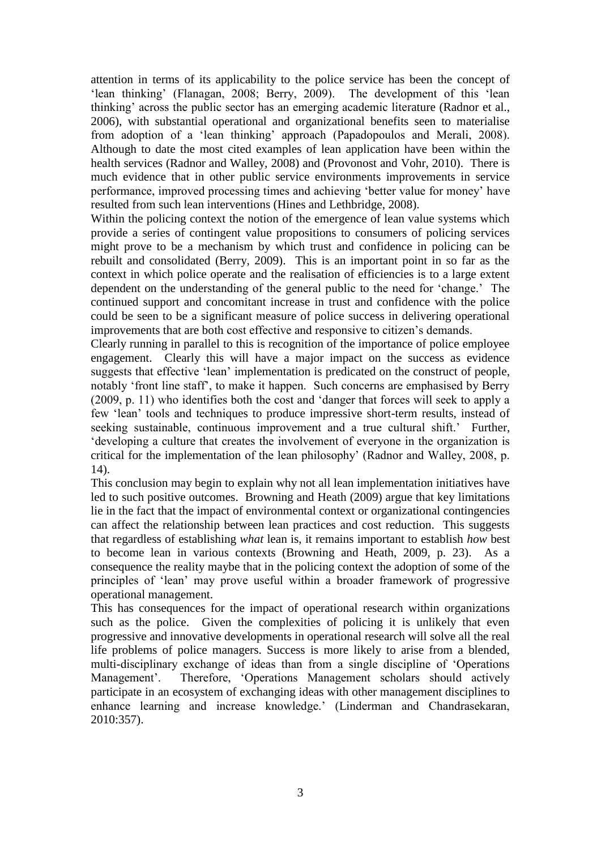attention in terms of its applicability to the police service has been the concept of 'lean thinking' (Flanagan, 2008; Berry, 2009). The development of this 'lean thinking' across the public sector has an emerging academic literature (Radnor et al., 2006), with substantial operational and organizational benefits seen to materialise from adoption of a 'lean thinking' approach (Papadopoulos and Merali, 2008). Although to date the most cited examples of lean application have been within the health services (Radnor and Walley, 2008) and (Provonost and Vohr, 2010). There is much evidence that in other public service environments improvements in service performance, improved processing times and achieving 'better value for money' have resulted from such lean interventions (Hines and Lethbridge, 2008).

Within the policing context the notion of the emergence of lean value systems which provide a series of contingent value propositions to consumers of policing services might prove to be a mechanism by which trust and confidence in policing can be rebuilt and consolidated (Berry, 2009). This is an important point in so far as the context in which police operate and the realisation of efficiencies is to a large extent dependent on the understanding of the general public to the need for 'change.' The continued support and concomitant increase in trust and confidence with the police could be seen to be a significant measure of police success in delivering operational improvements that are both cost effective and responsive to citizen's demands.

Clearly running in parallel to this is recognition of the importance of police employee engagement. Clearly this will have a major impact on the success as evidence suggests that effective 'lean' implementation is predicated on the construct of people, notably 'front line staff', to make it happen. Such concerns are emphasised by Berry (2009, p. 11) who identifies both the cost and 'danger that forces will seek to apply a few 'lean' tools and techniques to produce impressive short-term results, instead of seeking sustainable, continuous improvement and a true cultural shift.' Further, 'developing a culture that creates the involvement of everyone in the organization is critical for the implementation of the lean philosophy' (Radnor and Walley, 2008, p. 14).

This conclusion may begin to explain why not all lean implementation initiatives have led to such positive outcomes. Browning and Heath (2009) argue that key limitations lie in the fact that the impact of environmental context or organizational contingencies can affect the relationship between lean practices and cost reduction. This suggests that regardless of establishing *what* lean is, it remains important to establish *how* best to become lean in various contexts (Browning and Heath, 2009, p. 23). As a consequence the reality maybe that in the policing context the adoption of some of the principles of 'lean' may prove useful within a broader framework of progressive operational management.

This has consequences for the impact of operational research within organizations such as the police. Given the complexities of policing it is unlikely that even progressive and innovative developments in operational research will solve all the real life problems of police managers. Success is more likely to arise from a blended, multi-disciplinary exchange of ideas than from a single discipline of 'Operations Management'. Therefore, 'Operations Management scholars should actively participate in an ecosystem of exchanging ideas with other management disciplines to enhance learning and increase knowledge.' (Linderman and Chandrasekaran, 2010:357).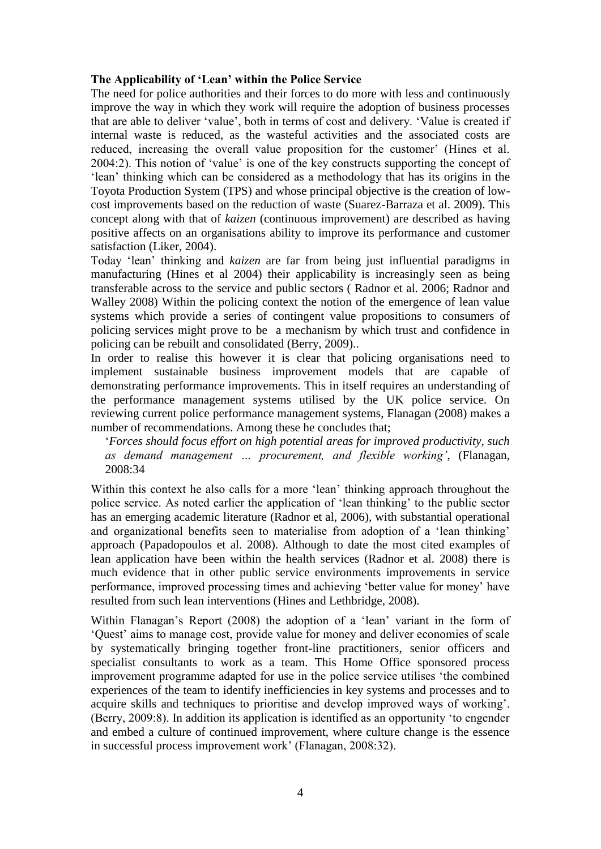#### **The Applicability of 'Lean' within the Police Service**

The need for police authorities and their forces to do more with less and continuously improve the way in which they work will require the adoption of business processes that are able to deliver 'value', both in terms of cost and delivery. 'Value is created if internal waste is reduced, as the wasteful activities and the associated costs are reduced, increasing the overall value proposition for the customer' (Hines et al. 2004:2). This notion of 'value' is one of the key constructs supporting the concept of 'lean' thinking which can be considered as a methodology that has its origins in the Toyota Production System (TPS) and whose principal objective is the creation of lowcost improvements based on the reduction of waste (Suarez-Barraza et al. 2009). This concept along with that of *kaizen* (continuous improvement) are described as having positive affects on an organisations ability to improve its performance and customer satisfaction (Liker, 2004).

Today 'lean' thinking and *kaizen* are far from being just influential paradigms in manufacturing (Hines et al 2004) their applicability is increasingly seen as being transferable across to the service and public sectors ( Radnor et al. 2006; Radnor and Walley 2008) Within the policing context the notion of the emergence of lean value systems which provide a series of contingent value propositions to consumers of policing services might prove to be a mechanism by which trust and confidence in policing can be rebuilt and consolidated (Berry, 2009)..

In order to realise this however it is clear that policing organisations need to implement sustainable business improvement models that are capable of demonstrating performance improvements. This in itself requires an understanding of the performance management systems utilised by the UK police service. On reviewing current police performance management systems, Flanagan (2008) makes a number of recommendations. Among these he concludes that;

'*Forces should focus effort on high potential areas for improved productivity, such as demand management … procurement, and flexible working'*, (Flanagan, 2008:34

Within this context he also calls for a more 'lean' thinking approach throughout the police service. As noted earlier the application of 'lean thinking' to the public sector has an emerging academic literature (Radnor et al, 2006), with substantial operational and organizational benefits seen to materialise from adoption of a 'lean thinking' approach (Papadopoulos et al. 2008). Although to date the most cited examples of lean application have been within the health services (Radnor et al. 2008) there is much evidence that in other public service environments improvements in service performance, improved processing times and achieving 'better value for money' have resulted from such lean interventions (Hines and Lethbridge, 2008).

Within Flanagan's Report (2008) the adoption of a 'lean' variant in the form of 'Quest' aims to manage cost, provide value for money and deliver economies of scale by systematically bringing together front-line practitioners, senior officers and specialist consultants to work as a team. This Home Office sponsored process improvement programme adapted for use in the police service utilises 'the combined experiences of the team to identify inefficiencies in key systems and processes and to acquire skills and techniques to prioritise and develop improved ways of working'. (Berry, 2009:8). In addition its application is identified as an opportunity 'to engender and embed a culture of continued improvement, where culture change is the essence in successful process improvement work' (Flanagan, 2008:32).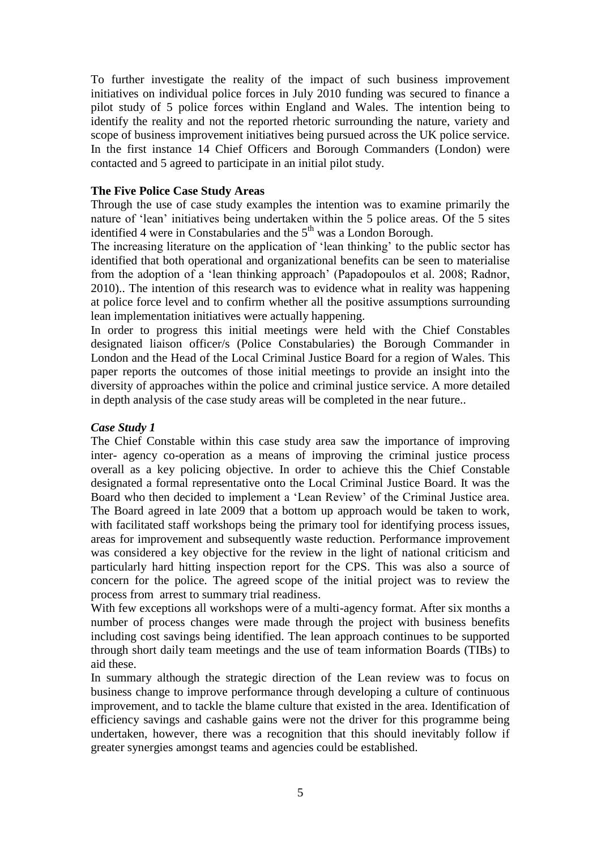To further investigate the reality of the impact of such business improvement initiatives on individual police forces in July 2010 funding was secured to finance a pilot study of 5 police forces within England and Wales. The intention being to identify the reality and not the reported rhetoric surrounding the nature, variety and scope of business improvement initiatives being pursued across the UK police service. In the first instance 14 Chief Officers and Borough Commanders (London) were contacted and 5 agreed to participate in an initial pilot study.

### **The Five Police Case Study Areas**

Through the use of case study examples the intention was to examine primarily the nature of 'lean' initiatives being undertaken within the 5 police areas. Of the 5 sites identified 4 were in Constabularies and the  $5<sup>th</sup>$  was a London Borough.

The increasing literature on the application of 'lean thinking' to the public sector has identified that both operational and organizational benefits can be seen to materialise from the adoption of a 'lean thinking approach' (Papadopoulos et al. 2008; Radnor, 2010).. The intention of this research was to evidence what in reality was happening at police force level and to confirm whether all the positive assumptions surrounding lean implementation initiatives were actually happening.

In order to progress this initial meetings were held with the Chief Constables designated liaison officer/s (Police Constabularies) the Borough Commander in London and the Head of the Local Criminal Justice Board for a region of Wales. This paper reports the outcomes of those initial meetings to provide an insight into the diversity of approaches within the police and criminal justice service. A more detailed in depth analysis of the case study areas will be completed in the near future..

#### *Case Study 1*

The Chief Constable within this case study area saw the importance of improving inter- agency co-operation as a means of improving the criminal justice process overall as a key policing objective. In order to achieve this the Chief Constable designated a formal representative onto the Local Criminal Justice Board. It was the Board who then decided to implement a 'Lean Review' of the Criminal Justice area. The Board agreed in late 2009 that a bottom up approach would be taken to work, with facilitated staff workshops being the primary tool for identifying process issues, areas for improvement and subsequently waste reduction. Performance improvement was considered a key objective for the review in the light of national criticism and particularly hard hitting inspection report for the CPS. This was also a source of concern for the police. The agreed scope of the initial project was to review the process from arrest to summary trial readiness.

With few exceptions all workshops were of a multi-agency format. After six months a number of process changes were made through the project with business benefits including cost savings being identified. The lean approach continues to be supported through short daily team meetings and the use of team information Boards (TIBs) to aid these.

In summary although the strategic direction of the Lean review was to focus on business change to improve performance through developing a culture of continuous improvement, and to tackle the blame culture that existed in the area. Identification of efficiency savings and cashable gains were not the driver for this programme being undertaken, however, there was a recognition that this should inevitably follow if greater synergies amongst teams and agencies could be established.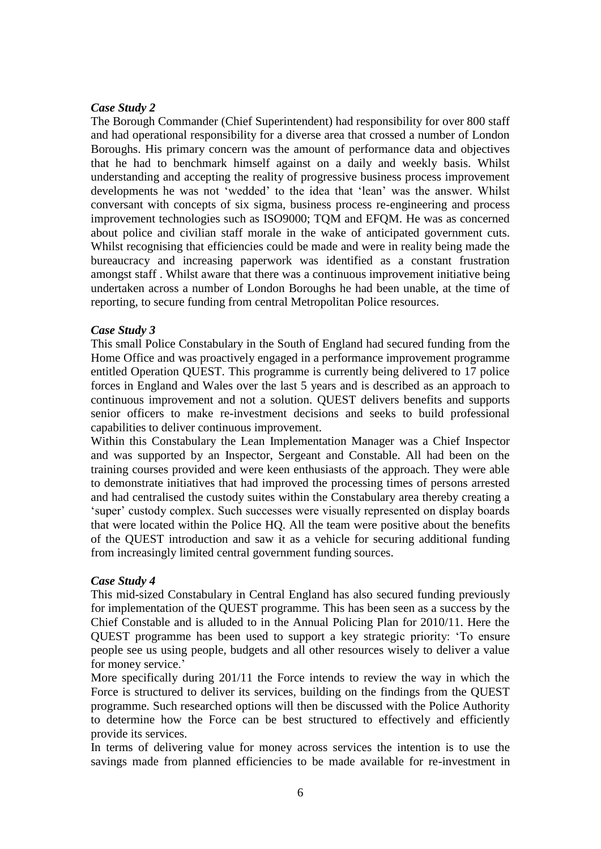### *Case Study 2*

The Borough Commander (Chief Superintendent) had responsibility for over 800 staff and had operational responsibility for a diverse area that crossed a number of London Boroughs. His primary concern was the amount of performance data and objectives that he had to benchmark himself against on a daily and weekly basis. Whilst understanding and accepting the reality of progressive business process improvement developments he was not 'wedded' to the idea that 'lean' was the answer. Whilst conversant with concepts of six sigma, business process re-engineering and process improvement technologies such as ISO9000; TQM and EFQM. He was as concerned about police and civilian staff morale in the wake of anticipated government cuts. Whilst recognising that efficiencies could be made and were in reality being made the bureaucracy and increasing paperwork was identified as a constant frustration amongst staff . Whilst aware that there was a continuous improvement initiative being undertaken across a number of London Boroughs he had been unable, at the time of reporting, to secure funding from central Metropolitan Police resources.

### *Case Study 3*

This small Police Constabulary in the South of England had secured funding from the Home Office and was proactively engaged in a performance improvement programme entitled Operation QUEST. This programme is currently being delivered to 17 police forces in England and Wales over the last 5 years and is described as an approach to continuous improvement and not a solution. QUEST delivers benefits and supports senior officers to make re-investment decisions and seeks to build professional capabilities to deliver continuous improvement.

Within this Constabulary the Lean Implementation Manager was a Chief Inspector and was supported by an Inspector, Sergeant and Constable. All had been on the training courses provided and were keen enthusiasts of the approach. They were able to demonstrate initiatives that had improved the processing times of persons arrested and had centralised the custody suites within the Constabulary area thereby creating a 'super' custody complex. Such successes were visually represented on display boards that were located within the Police HQ. All the team were positive about the benefits of the QUEST introduction and saw it as a vehicle for securing additional funding from increasingly limited central government funding sources.

### *Case Study 4*

This mid-sized Constabulary in Central England has also secured funding previously for implementation of the QUEST programme. This has been seen as a success by the Chief Constable and is alluded to in the Annual Policing Plan for 2010/11. Here the QUEST programme has been used to support a key strategic priority: 'To ensure people see us using people, budgets and all other resources wisely to deliver a value for money service.'

More specifically during 201/11 the Force intends to review the way in which the Force is structured to deliver its services, building on the findings from the QUEST programme. Such researched options will then be discussed with the Police Authority to determine how the Force can be best structured to effectively and efficiently provide its services.

In terms of delivering value for money across services the intention is to use the savings made from planned efficiencies to be made available for re-investment in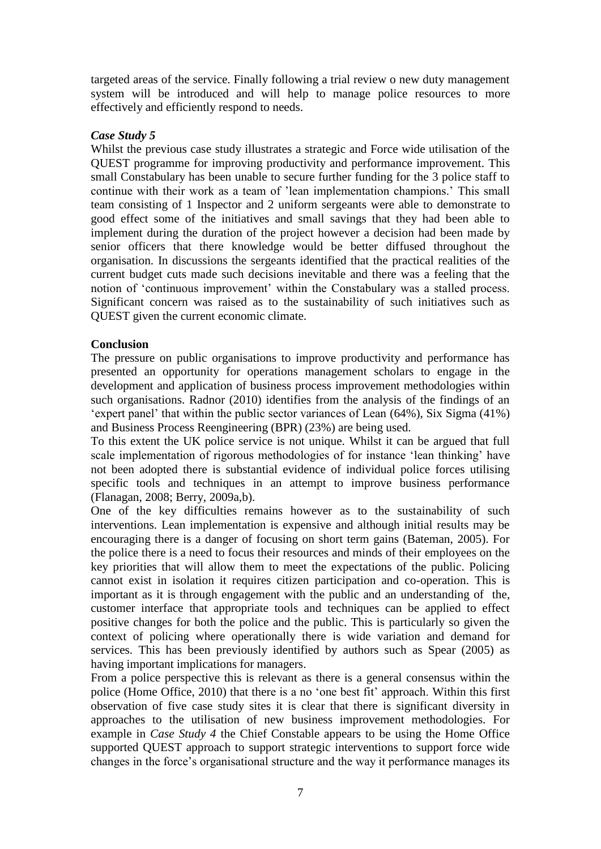targeted areas of the service. Finally following a trial review o new duty management system will be introduced and will help to manage police resources to more effectively and efficiently respond to needs.

#### *Case Study 5*

Whilst the previous case study illustrates a strategic and Force wide utilisation of the QUEST programme for improving productivity and performance improvement. This small Constabulary has been unable to secure further funding for the 3 police staff to continue with their work as a team of 'lean implementation champions.' This small team consisting of 1 Inspector and 2 uniform sergeants were able to demonstrate to good effect some of the initiatives and small savings that they had been able to implement during the duration of the project however a decision had been made by senior officers that there knowledge would be better diffused throughout the organisation. In discussions the sergeants identified that the practical realities of the current budget cuts made such decisions inevitable and there was a feeling that the notion of 'continuous improvement' within the Constabulary was a stalled process. Significant concern was raised as to the sustainability of such initiatives such as QUEST given the current economic climate.

#### **Conclusion**

The pressure on public organisations to improve productivity and performance has presented an opportunity for operations management scholars to engage in the development and application of business process improvement methodologies within such organisations. Radnor (2010) identifies from the analysis of the findings of an 'expert panel' that within the public sector variances of Lean (64%), Six Sigma (41%) and Business Process Reengineering (BPR) (23%) are being used.

To this extent the UK police service is not unique. Whilst it can be argued that full scale implementation of rigorous methodologies of for instance 'lean thinking' have not been adopted there is substantial evidence of individual police forces utilising specific tools and techniques in an attempt to improve business performance (Flanagan, 2008; Berry, 2009a,b).

One of the key difficulties remains however as to the sustainability of such interventions. Lean implementation is expensive and although initial results may be encouraging there is a danger of focusing on short term gains (Bateman, 2005). For the police there is a need to focus their resources and minds of their employees on the key priorities that will allow them to meet the expectations of the public. Policing cannot exist in isolation it requires citizen participation and co-operation. This is important as it is through engagement with the public and an understanding of the, customer interface that appropriate tools and techniques can be applied to effect positive changes for both the police and the public. This is particularly so given the context of policing where operationally there is wide variation and demand for services. This has been previously identified by authors such as Spear (2005) as having important implications for managers.

From a police perspective this is relevant as there is a general consensus within the police (Home Office, 2010) that there is a no 'one best fit' approach. Within this first observation of five case study sites it is clear that there is significant diversity in approaches to the utilisation of new business improvement methodologies. For example in *Case Study 4* the Chief Constable appears to be using the Home Office supported QUEST approach to support strategic interventions to support force wide changes in the force's organisational structure and the way it performance manages its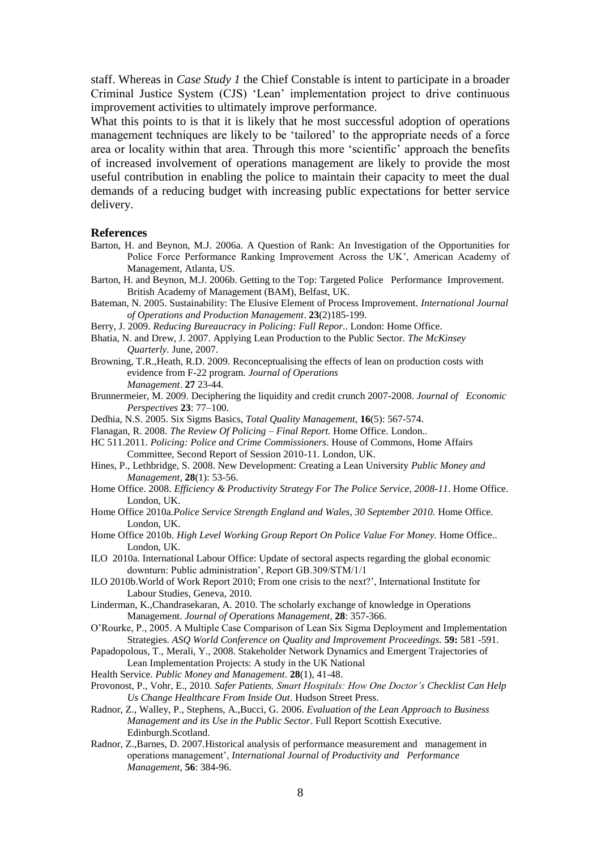staff. Whereas in *Case Study 1* the Chief Constable is intent to participate in a broader Criminal Justice System (CJS) 'Lean' implementation project to drive continuous improvement activities to ultimately improve performance.

What this points to is that it is likely that he most successful adoption of operations management techniques are likely to be 'tailored' to the appropriate needs of a force area or locality within that area. Through this more 'scientific' approach the benefits of increased involvement of operations management are likely to provide the most useful contribution in enabling the police to maintain their capacity to meet the dual demands of a reducing budget with increasing public expectations for better service delivery.

#### **References**

- Barton, H. and Beynon, M.J. 2006a. A Question of Rank: An Investigation of the Opportunities for Police Force Performance Ranking Improvement Across the UK', American Academy of Management, Atlanta, US.
- Barton, H. and Beynon, M.J. 2006b. Getting to the Top: Targeted Police Performance Improvement. British Academy of Management (BAM), Belfast, UK.
- Bateman, N. 2005. Sustainability: The Elusive Element of Process Improvement. *International Journal of Operations and Production Management*. **23**(2)185-199.
- Berry, J. 2009. *Reducing Bureaucracy in Policing: Full Repor*.. London: Home Office.
- Bhatia, N. and Drew, J. 2007. Applying Lean Production to the Public Sector*. The McKinsey Quarterly.* June, 2007.
- Browning, T.R.,Heath, R.D. 2009. Reconceptualising the effects of lean on production costs with evidence from F-22 program. *Journal of Operations Management*. **27** 23-44.
- Brunnermeier, M. 2009. Deciphering the liquidity and credit crunch 2007-2008. *Journal of Economic Perspectives* **23**: 77–100.
- Dedhia, N.S. 2005. Six Sigms Basics, *Total Quality Management*, **16**(5): 567-574.
- Flanagan, R. 2008. *The Review Of Policing – Final Report.* Home Office. London..
- HC 511.2011. *Policing: Police and Crime Commissioners*. House of Commons, Home Affairs Committee, Second Report of Session 2010-11. London, UK.
- Hines, P., Lethbridge, S. 2008. New Development: Creating a Lean University *Public Money and Management*, **28**(1): 53-56.
- Home Office. 2008. *Efficiency & Productivity Strategy For The Police Service, 2008-11*. Home Office. London, UK.
- Home Office 2010a*.Police Service Strength England and Wales, 30 September 2010.* Home Office. London, UK.
- Home Office 2010b. *High Level Working Group Report On Police Value For Money.* Home Office.. London, UK.
- ILO 2010a. International Labour Office: Update of sectoral aspects regarding the global economic downturn: Public administration', Report GB.309/STM/1/1
- ILO 2010b.World of Work Report 2010; From one crisis to the next?', International Institute for Labour Studies, Geneva, 2010.
- Linderman, K.,Chandrasekaran, A. 2010. The scholarly exchange of knowledge in Operations Management. *Journal of Operations Management*, **28**: 357-366.
- O'Rourke, P., 2005. A Multiple Case Comparison of Lean Six Sigma Deployment and Implementation Strategies. *ASQ World Conference on Quality and Improvement Proceedings.* **59:** 581 -591.
- Papadopolous, T., Merali, Y., 2008. Stakeholder Network Dynamics and Emergent Trajectories of Lean Implementation Projects: A study in the UK National
- Health Service. *Public Money and Management*. **28**(1), 41-48.
- Provonost, P., Vohr, E., 2010. *Safer Patients, Smart Hospitals: How One Doctor's Checklist Can Help Us Change Healthcare From Inside Out*. Hudson Street Press.
- Radnor, Z., Walley, P., Stephens, A.,Bucci, G. 2006. *Evaluation of the Lean Approach to Business Management and its Use in the Public Sector*. Full Report Scottish Executive. Edinburgh.Scotland.
- Radnor, Z.,Barnes, D. 2007.Historical analysis of performance measurement and management in operations management', *International Journal of Productivity and Performance Management,* **56**: 384-96.